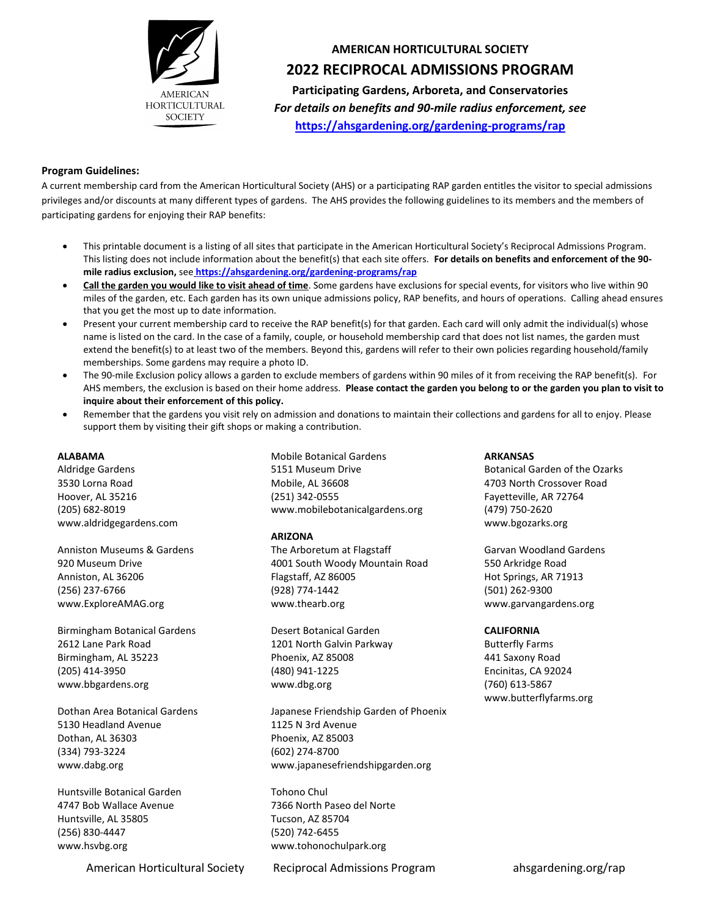

# **AMERICAN HORTICULTURAL SOCIETY 2022 RECIPROCAL ADMISSIONS PROGRAM**

**Participating Gardens, Arboreta, and Conservatories** *For details on benefits and 90-mile radius enforcement, see* **<https://ahsgardening.org/gardening-programs/rap>**

## **Program Guidelines:**

A current membership card from the American Horticultural Society (AHS) or a participating RAP garden entitles the visitor to special admissions privileges and/or discounts at many different types of gardens. The AHS provides the following guidelines to its members and the members of participating gardens for enjoying their RAP benefits:

- This printable document is a listing of all sites that participate in the American Horticultural Society's Reciprocal Admissions Program. This listing does not include information about the benefit(s) that each site offers. **For details on benefits and enforcement of the 90 mile radius exclusion,** see **<https://ahsgardening.org/gardening-programs/rap>**
- **Call the garden you would like to visit ahead of time**. Some gardens have exclusions for special events, for visitors who live within 90 miles of the garden, etc. Each garden has its own unique admissions policy, RAP benefits, and hours of operations. Calling ahead ensures that you get the most up to date information.
- Present your current membership card to receive the RAP benefit(s) for that garden. Each card will only admit the individual(s) whose name is listed on the card. In the case of a family, couple, or household membership card that does not list names, the garden must extend the benefit(s) to at least two of the members. Beyond this, gardens will refer to their own policies regarding household/family memberships. Some gardens may require a photo ID.
- The 90-mile Exclusion policy allows a garden to exclude members of gardens within 90 miles of it from receiving the RAP benefit(s). For AHS members, the exclusion is based on their home address. **Please contact the garden you belong to or the garden you plan to visit to inquire about their enforcement of this policy.**
- Remember that the gardens you visit rely on admission and donations to maintain their collections and gardens for all to enjoy. Please support them by visiting their gift shops or making a contribution.

#### **ALABAMA**

Aldridge Gardens 3530 Lorna Road Hoover, AL 35216 (205) 682-8019 www.aldridgegardens.com

Anniston Museums & Gardens 920 Museum Drive Anniston, AL 36206 (256) 237-6766 www.ExploreAMAG.org

Birmingham Botanical Gardens 2612 Lane Park Road Birmingham, AL 35223 (205) 414-3950 www.bbgardens.org

Dothan Area Botanical Gardens 5130 Headland Avenue Dothan, AL 36303 (334) 793-3224 www.dabg.org

Huntsville Botanical Garden 4747 Bob Wallace Avenue Huntsville, AL 35805 (256) 830-4447 www.hsvbg.org

Mobile Botanical Gardens 5151 Museum Drive Mobile, AL 36608 (251) 342-0555 www.mobilebotanicalgardens.org

### **ARIZONA**

The Arboretum at Flagstaff 4001 South Woody Mountain Road Flagstaff, AZ 86005 (928) 774-1442 www.thearb.org

Desert Botanical Garden 1201 North Galvin Parkway Phoenix, AZ 85008 (480) 941-1225 www.dbg.org

Japanese Friendship Garden of Phoenix 1125 N 3rd Avenue Phoenix, AZ 85003 (602) 274-8700 www.japanesefriendshipgarden.org

Tohono Chul 7366 North Paseo del Norte Tucson, AZ 85704 (520) 742-6455 www.tohonochulpark.org

**ARKANSAS**

Botanical Garden of the Ozarks 4703 North Crossover Road Fayetteville, AR 72764 (479) 750-2620 www.bgozarks.org

Garvan Woodland Gardens 550 Arkridge Road Hot Springs, AR 71913 (501) 262-9300 www.garvangardens.org

### **CALIFORNIA**

Butterfly Farms 441 Saxony Road Encinitas, CA 92024 (760) 613-5867 www.butterflyfarms.org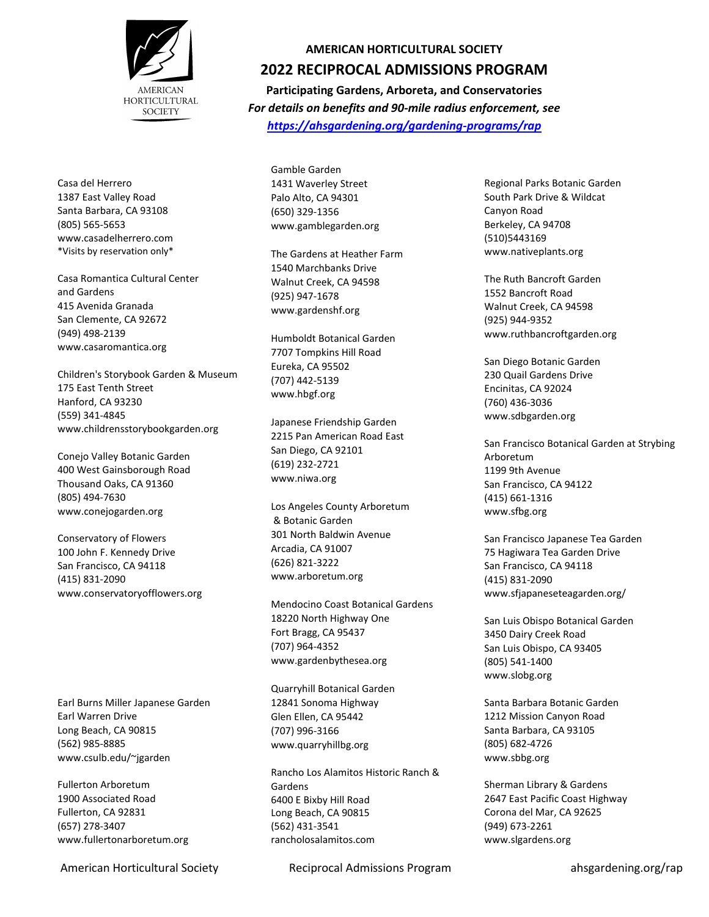

Casa del Herrero 1387 East Valley Road Santa Barbara, CA 93108 (805) 565-5653 www.casadelherrero.com \*Visits by reservation only\*

Casa Romantica Cultural Center and Gardens 415 Avenida Granada San Clemente, CA 92672 (949) 498-2139 www.casaromantica.org

Children's Storybook Garden & Museum 175 East Tenth Street Hanford, CA 93230 (559) 341-4845 www.childrensstorybookgarden.org

Conejo Valley Botanic Garden 400 West Gainsborough Road Thousand Oaks, CA 91360 (805) 494-7630 www.conejogarden.org

Conservatory of Flowers 100 John F. Kennedy Drive San Francisco, CA 94118 (415) 831-2090 www.conservatoryofflowers.org

Earl Burns Miller Japanese Garden Earl Warren Drive Long Beach, CA 90815 (562) 985-8885 www.csulb.edu/~jgarden

Fullerton Arboretum 1900 Associated Road Fullerton, CA 92831 (657) 278-3407 www.fullertonarboretum.org

# **AMERICAN HORTICULTURAL SOCIETY**

## **2022 RECIPROCAL ADMISSIONS PROGRAM**

**Participating Gardens, Arboreta, and Conservatories** *For details on benefits and 90-mile radius enforcement, see <https://ahsgardening.org/gardening-programs/rap>*

Gamble Garden 1431 Waverley Street Palo Alto, CA 94301 (650) 329-1356 www.gamblegarden.org

The Gardens at Heather Farm 1540 Marchbanks Drive Walnut Creek, CA 94598 (925) 947-1678 www.gardenshf.org

Humboldt Botanical Garden 7707 Tompkins Hill Road Eureka, CA 95502 (707) 442-5139 www.hbgf.org

Japanese Friendship Garden 2215 Pan American Road East San Diego, CA 92101 (619) 232-2721 www.niwa.org

Los Angeles County Arboretum & Botanic Garden 301 North Baldwin Avenue Arcadia, CA 91007 (626) 821-3222 www.arboretum.org

Mendocino Coast Botanical Gardens 18220 North Highway One Fort Bragg, CA 95437 (707) 964-4352 www.gardenbythesea.org

Quarryhill Botanical Garden 12841 Sonoma Highway Glen Ellen, CA 95442 (707) 996-3166 www.quarryhillbg.org

Rancho Los Alamitos Historic Ranch & Gardens 6400 E Bixby Hill Road Long Beach, CA 90815 (562) 431-3541 rancholosalamitos.com

American Horticultural Society **Reciprocal Admissions Program** ahsgardening.org/rap

Regional Parks Botanic Garden South Park Drive & Wildcat Canyon Road Berkeley, CA 94708 (510)5443169 www.nativeplants.org

The Ruth Bancroft Garden 1552 Bancroft Road Walnut Creek, CA 94598 (925) 944-9352 www.ruthbancroftgarden.org

San Diego Botanic Garden 230 Quail Gardens Drive Encinitas, CA 92024 (760) 436-3036 www.sdbgarden.org

San Francisco Botanical Garden at Strybing Arboretum 1199 9th Avenue San Francisco, CA 94122 (415) 661-1316 www.sfbg.org

San Francisco Japanese Tea Garden 75 Hagiwara Tea Garden Drive San Francisco, CA 94118 (415) 831-2090 www.sfjapaneseteagarden.org/

San Luis Obispo Botanical Garden 3450 Dairy Creek Road San Luis Obispo, CA 93405 (805) 541-1400 www.slobg.org

Santa Barbara Botanic Garden 1212 Mission Canyon Road Santa Barbara, CA 93105 (805) 682-4726 www.sbbg.org

Sherman Library & Gardens 2647 East Pacific Coast Highway Corona del Mar, CA 92625 (949) 673-2261 www.slgardens.org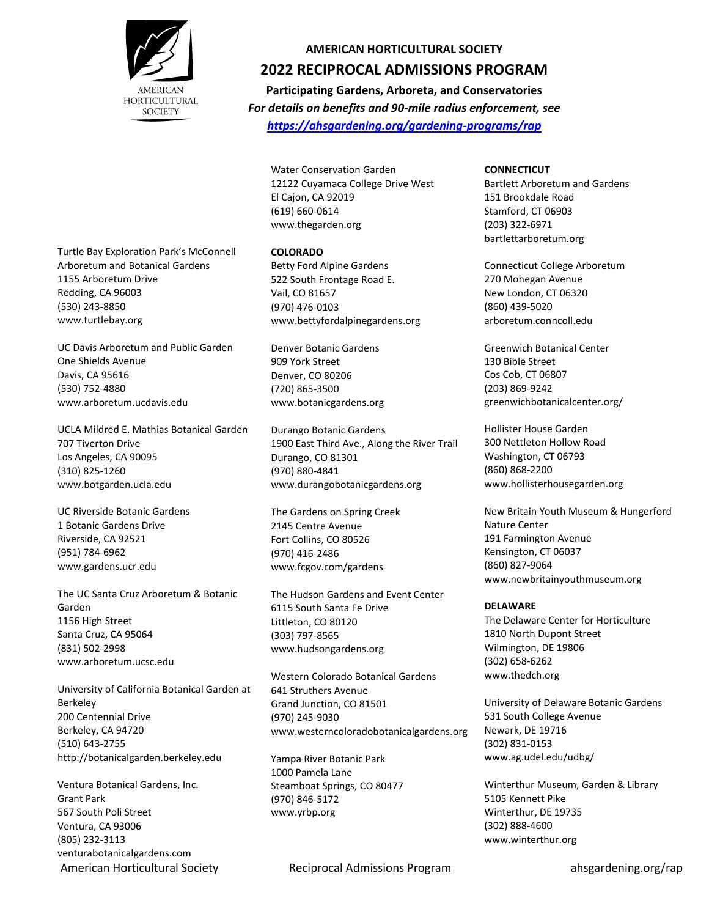

## **AMERICAN HORTICULTURAL SOCIETY**

# **2022 RECIPROCAL ADMISSIONS PROGRAM**

**Participating Gardens, Arboreta, and Conservatories** *For details on benefits and 90-mile radius enforcement, see <https://ahsgardening.org/gardening-programs/rap>*

Water Conservation Garden 12122 Cuyamaca College Drive West El Cajon, CA 92019 (619) 660-0614 www.thegarden.org

#### **COLORADO**

Betty Ford Alpine Gardens 522 South Frontage Road E. Vail, CO 81657 (970) 476-0103 www.bettyfordalpinegardens.org

Denver Botanic Gardens 909 York Street Denver, CO 80206 (720) 865-3500 www.botanicgardens.org

Durango Botanic Gardens 1900 East Third Ave., Along the River Trail Durango, CO 81301 (970) 880-4841 www.durangobotanicgardens.org

The Gardens on Spring Creek 2145 Centre Avenue Fort Collins, CO 80526 (970) 416-2486 www.fcgov.com/gardens

The Hudson Gardens and Event Center 6115 South Santa Fe Drive Littleton, CO 80120 (303) 797-8565 www.hudsongardens.org

Western Colorado Botanical Gardens 641 Struthers Avenue Grand Junction, CO 81501 (970) 245-9030 www.westerncoloradobotanicalgardens.org

Yampa River Botanic Park 1000 Pamela Lane Steamboat Springs, CO 80477 (970) 846-5172 www.yrbp.org

#### **CONNECTICUT**

Bartlett Arboretum and Gardens 151 Brookdale Road Stamford, CT 06903 (203) 322-6971 bartlettarboretum.org

Connecticut College Arboretum 270 Mohegan Avenue New London, CT 06320 (860) 439-5020 arboretum.conncoll.edu

Greenwich Botanical Center 130 Bible Street Cos Cob, CT 06807 (203) 869-9242 greenwichbotanicalcenter.org/

Hollister House Garden 300 Nettleton Hollow Road Washington, CT 06793 (860) 868-2200 www.hollisterhousegarden.org

New Britain Youth Museum & Hungerford Nature Center 191 Farmington Avenue Kensington, CT 06037 (860) 827-9064 www.newbritainyouthmuseum.org

### **DELAWARE**

The Delaware Center for Horticulture 1810 North Dupont Street Wilmington, DE 19806 (302) 658-6262 www.thedch.org

University of Delaware Botanic Gardens 531 South College Avenue Newark, DE 19716 (302) 831-0153 www.ag.udel.edu/udbg/

Winterthur Museum, Garden & Library 5105 Kennett Pike Winterthur, DE 19735 (302) 888-4600 www.winterthur.org

Turtle Bay Exploration Park's McConnell Arboretum and Botanical Gardens 1155 Arboretum Drive Redding, CA 96003 (530) 243-8850 www.turtlebay.org

UC Davis Arboretum and Public Garden One Shields Avenue Davis, CA 95616 (530) 752-4880 www.arboretum.ucdavis.edu

UCLA Mildred E. Mathias Botanical Garden 707 Tiverton Drive Los Angeles, CA 90095 (310) 825-1260 www.botgarden.ucla.edu

UC Riverside Botanic Gardens 1 Botanic Gardens Drive Riverside, CA 92521 (951) 784-6962 www.gardens.ucr.edu

The UC Santa Cruz Arboretum & Botanic Garden 1156 High Street Santa Cruz, CA 95064 (831) 502-2998 www.arboretum.ucsc.edu

University of California Botanical Garden at Berkeley 200 Centennial Drive Berkeley, CA 94720 (510) 643-2755 http://botanicalgarden.berkeley.edu

Ventura Botanical Gardens, Inc. Grant Park 567 South Poli Street Ventura, CA 93006 (805) 232-3113 venturabotanicalgardens.com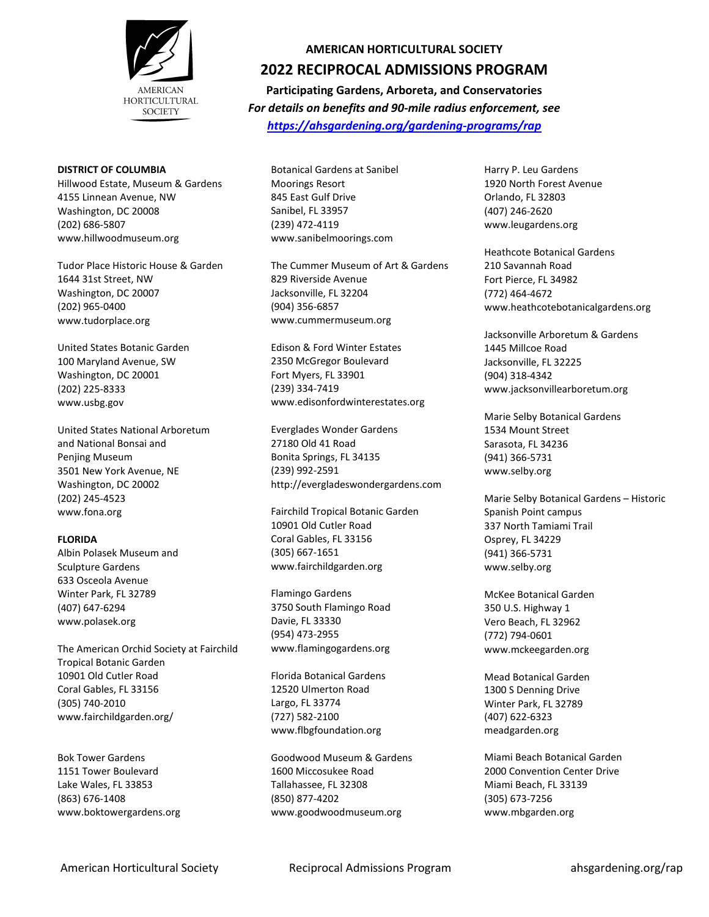

### **DISTRICT OF COLUMBIA**

Hillwood Estate, Museum & Gardens 4155 Linnean Avenue, NW Washington, DC 20008 (202) 686-5807 www.hillwoodmuseum.org

Tudor Place Historic House & Garden 1644 31st Street, NW Washington, DC 20007 (202) 965-0400 www.tudorplace.org

United States Botanic Garden 100 Maryland Avenue, SW Washington, DC 20001 (202) 225-8333 www.usbg.gov

United States National Arboretum and National Bonsai and Penjing Museum 3501 New York Avenue, NE Washington, DC 20002 (202) 245-4523 www.fona.org

### **FLORIDA**

Albin Polasek Museum and Sculpture Gardens 633 Osceola Avenue Winter Park, FL 32789 (407) 647-6294 www.polasek.org

The American Orchid Society at Fairchild Tropical Botanic Garden 10901 Old Cutler Road Coral Gables, FL 33156 (305) 740-2010 www.fairchildgarden.org/

Bok Tower Gardens 1151 Tower Boulevard Lake Wales, FL 33853 (863) 676-1408 www.boktowergardens.org

## **AMERICAN HORTICULTURAL SOCIETY**

# **2022 RECIPROCAL ADMISSIONS PROGRAM**

**Participating Gardens, Arboreta, and Conservatories** *For details on benefits and 90-mile radius enforcement, see <https://ahsgardening.org/gardening-programs/rap>*

Botanical Gardens at Sanibel Moorings Resort 845 East Gulf Drive Sanibel, FL 33957 (239) 472-4119 www.sanibelmoorings.com

The Cummer Museum of Art & Gardens 829 Riverside Avenue Jacksonville, FL 32204 (904) 356-6857 www.cummermuseum.org

Edison & Ford Winter Estates 2350 McGregor Boulevard Fort Myers, FL 33901 (239) 334-7419 www.edisonfordwinterestates.org

Everglades Wonder Gardens 27180 Old 41 Road Bonita Springs, FL 34135 (239) 992-2591 http://evergladeswondergardens.com

Fairchild Tropical Botanic Garden 10901 Old Cutler Road Coral Gables, FL 33156 (305) 667-1651 www.fairchildgarden.org

Flamingo Gardens 3750 South Flamingo Road Davie, FL 33330 (954) 473-2955 www.flamingogardens.org

Florida Botanical Gardens 12520 Ulmerton Road Largo, FL 33774 (727) 582-2100 www.flbgfoundation.org

Goodwood Museum & Gardens 1600 Miccosukee Road Tallahassee, FL 32308 (850) 877-4202 www.goodwoodmuseum.org

Harry P. Leu Gardens 1920 North Forest Avenue Orlando, FL 32803 (407) 246-2620 www.leugardens.org

Heathcote Botanical Gardens 210 Savannah Road Fort Pierce, FL 34982 (772) 464-4672 www.heathcotebotanicalgardens.org

Jacksonville Arboretum & Gardens 1445 Millcoe Road Jacksonville, FL 32225 (904) 318-4342 www.jacksonvillearboretum.org

Marie Selby Botanical Gardens 1534 Mount Street Sarasota, FL 34236 (941) 366-5731 www.selby.org

Marie Selby Botanical Gardens – Historic Spanish Point campus 337 North Tamiami Trail Osprey, FL 34229 (941) 366-5731 www.selby.org

McKee Botanical Garden 350 U.S. Highway 1 Vero Beach, FL 32962 (772) 794-0601 www.mckeegarden.org

Mead Botanical Garden 1300 S Denning Drive Winter Park, FL 32789 (407) 622-6323 meadgarden.org

Miami Beach Botanical Garden 2000 Convention Center Drive Miami Beach, FL 33139 (305) 673-7256 www.mbgarden.org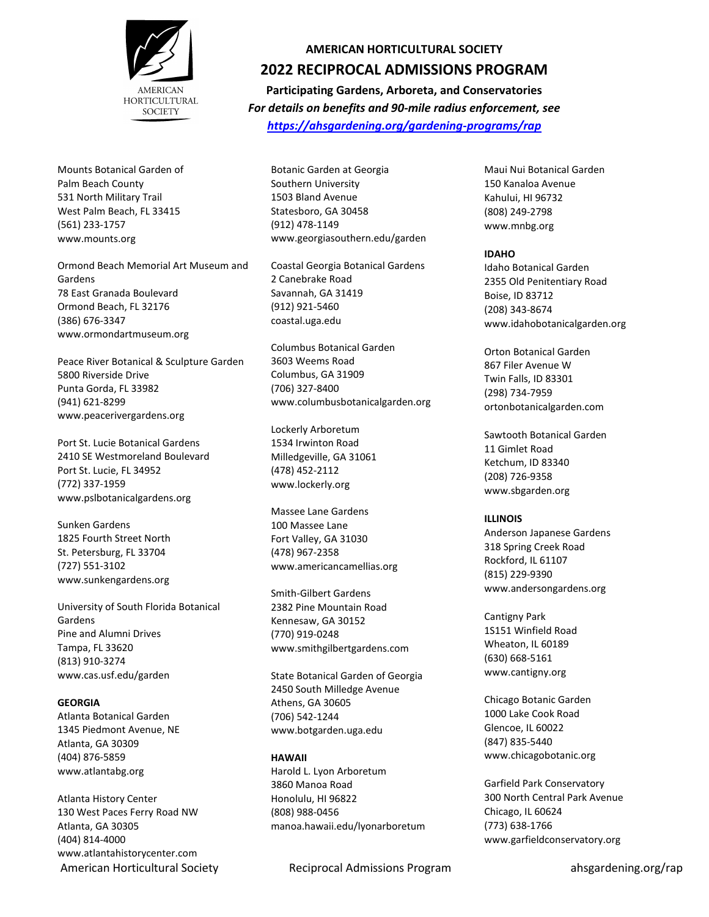

Mounts Botanical Garden of Palm Beach County 531 North Military Trail West Palm Beach, FL 33415 (561) 233-1757 www.mounts.org

Ormond Beach Memorial Art Museum and Gardens 78 East Granada Boulevard Ormond Beach, FL 32176 (386) 676-3347 www.ormondartmuseum.org

Peace River Botanical & Sculpture Garden 5800 Riverside Drive Punta Gorda, FL 33982 (941) 621-8299 www.peacerivergardens.org

Port St. Lucie Botanical Gardens 2410 SE Westmoreland Boulevard Port St. Lucie, FL 34952 (772) 337-1959 www.pslbotanicalgardens.org

Sunken Gardens 1825 Fourth Street North St. Petersburg, FL 33704 (727) 551-3102 www.sunkengardens.org

University of South Florida Botanical Gardens Pine and Alumni Drives Tampa, FL 33620 (813) 910-3274 www.cas.usf.edu/garden

#### **GEORGIA**

Atlanta Botanical Garden 1345 Piedmont Avenue, NE Atlanta, GA 30309 (404) 876-5859 www.atlantabg.org

Atlanta History Center 130 West Paces Ferry Road NW Atlanta, GA 30305 (404) 814-4000 www.atlantahistorycenter.com

## **AMERICAN HORTICULTURAL SOCIETY**

## **2022 RECIPROCAL ADMISSIONS PROGRAM**

**Participating Gardens, Arboreta, and Conservatories** *For details on benefits and 90-mile radius enforcement, see <https://ahsgardening.org/gardening-programs/rap>*

Botanic Garden at Georgia Southern University 1503 Bland Avenue Statesboro, GA 30458 (912) 478-1149 www[.georgiasouthern.edu/garden](http://georgiasouthern.edu/garden/)

Coastal Georgia Botanical Gardens 2 Canebrake Road Savannah, GA 31419 (912) 921-5460 coastal.uga.edu

Columbus Botanical Garden 3603 Weems Road Columbus, GA 31909 (706) 327-8400 www.columbusbotanicalgarden.org

Lockerly Arboretum 1534 Irwinton Road Milledgeville, GA 31061 (478) 452-2112 www.lockerly.org

Massee Lane Gardens 100 Massee Lane Fort Valley, GA 31030 (478) 967-2358 www.americancamellias.org

Smith-Gilbert Gardens 2382 Pine Mountain Road Kennesaw, GA 30152 (770) 919-0248 www.smithgilbertgardens.com

State Botanical Garden of Georgia 2450 South Milledge Avenue Athens, GA 30605 (706) 542-1244 www.botgarden.uga.edu

#### **HAWAII**

Harold L. Lyon Arboretum 3860 Manoa Road Honolulu, HI 96822 (808) 988-0456 manoa.hawaii.edu/lyonarboretum

American Horticultural Society **Reciprocal Admissions Program** ahsgardening.org/rap

Maui Nui Botanical Garden 150 Kanaloa Avenue Kahului, HI 96732 (808) 249-2798 www.mnbg.org

### **IDAHO**

Idaho Botanical Garden 2355 Old Penitentiary Road Boise, ID 83712 (208) 343-8674 www.idahobotanicalgarden.org

Orton Botanical Garden 867 Filer Avenue W Twin Falls, ID 83301 (298) 734-7959 ortonbotanicalgarden.com

Sawtooth Botanical Garden 11 Gimlet Road Ketchum, ID 83340 (208) 726-9358 www.sbgarden.org

#### **ILLINOIS**

Anderson Japanese Gardens 318 Spring Creek Road Rockford, IL 61107 (815) 229-9390 www.andersongardens.org

Cantigny Park 1S151 Winfield Road Wheaton, IL 60189 (630) 668-5161 www.cantigny.org

Chicago Botanic Garden 1000 Lake Cook Road Glencoe, IL 60022 (847) 835-5440 www.chicagobotanic.org

Garfield Park Conservatory 300 North Central Park Avenue Chicago, IL 60624 (773) 638-1766 www.garfieldconservatory.org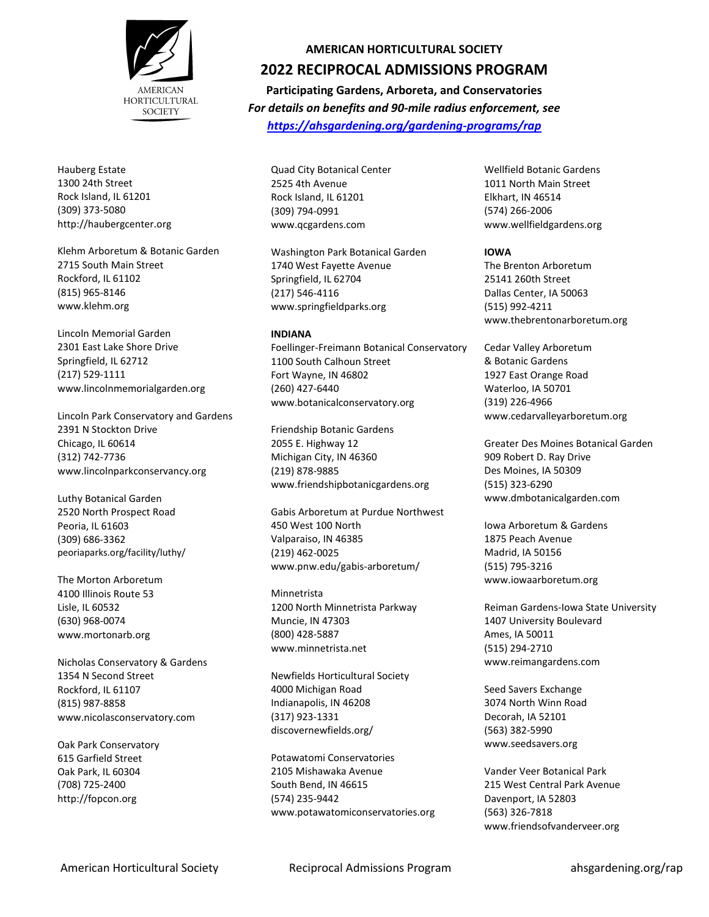

Hauberg Estate 1300 24th Street Rock Island, IL 61201 (309) 373-5080 http://haubergcenter.org

Klehm Arboretum & Botanic Garden 2715 South Main Street Rockford, IL 61102 (815) 965-8146 www.klehm.org

Lincoln Memorial Garden 2301 East Lake Shore Drive Springfield, IL 62712 (217) 529-1111 www.lincolnmemorialgarden.org

Lincoln Park Conservatory and Gardens 2391 N Stockton Drive Chicago, IL 60614 (312) 742-7736 www.lincolnparkconservancy.org

Luthy Botanical Garden 2520 North Prospect Road Peoria, IL 61603 (309) 686-3362 peoriaparks.org/facility/luthy/

The Morton Arboretum 4100 Illinois Route 53 Lisle, IL 60532 (630) 968-0074 www.mortonarb.org

Nicholas Conservatory & Gardens 1354 N Second Street Rockford, IL 61107 (815) 987-8858 www.nicolasconservatory.com

Oak Park Conservatory 615 Garfield Street Oak Park, IL 60304 (708) 725-2400 http://fopcon.org

## **AMERICAN HORTICULTURAL SOCIETY**

# **2022 RECIPROCAL ADMISSIONS PROGRAM**

**Participating Gardens, Arboreta, and Conservatories** *For details on benefits and 90-mile radius enforcement, see <https://ahsgardening.org/gardening-programs/rap>*

Quad City Botanical Center 2525 4th Avenue Rock Island, IL 61201 (309) 794-0991 www.qcgardens.com

Washington Park Botanical Garden 1740 West Fayette Avenue Springfield, IL 62704 (217) 546-4116 www.springfieldparks.org

#### **INDIANA**

Foellinger-Freimann Botanical Conservatory 1100 South Calhoun Street Fort Wayne, IN 46802 (260) 427-6440 www.botanicalconservatory.org

Friendship Botanic Gardens 2055 E. Highway 12 Michigan City, IN 46360 (219) 878-9885 www.friendshipbotanicgardens.org

Gabis Arboretum at Purdue Northwest 450 West 100 North Valparaiso, IN 46385 (219) 462-0025 www.pnw.edu/gabis-arboretum/

Minnetrista 1200 North Minnetrista Parkway Muncie, IN 47303 (800) 428-5887 www.minnetrista.net

Newfields Horticultural Society 4000 Michigan Road Indianapolis, IN 46208 (317) 923-1331 discovernewfields.org/

Potawatomi Conservatories 2105 Mishawaka Avenue South Bend, IN 46615 (574) 235-9442 www.potawatomiconservatories.org Wellfield Botanic Gardens 1011 North Main Street Elkhart, IN 46514 (574) 266-2006 www.wellfieldgardens.org

**IOWA** The Brenton Arboretum 25141 260th Street Dallas Center, IA 50063 (515) 992-4211 www.thebrentonarboretum.org

Cedar Valley Arboretum & Botanic Gardens 1927 East Orange Road Waterloo, IA 50701 (319) 226-4966 www.cedarvalleyarboretum.org

Greater Des Moines Botanical Garden 909 Robert D. Ray Drive Des Moines, IA 50309 (515) 323-6290 www.dmbotanicalgarden.com

Iowa Arboretum & Gardens 1875 Peach Avenue Madrid, IA 50156 (515) 795-3216 www.iowaarboretum.org

Reiman Gardens-Iowa State University 1407 University Boulevard Ames, IA 50011 (515) 294-2710 www.reimangardens.com

Seed Savers Exchange 3074 North Winn Road Decorah, IA 52101 (563) 382-5990 www.seedsavers.org

Vander Veer Botanical Park 215 West Central Park Avenue Davenport, IA 52803 (563) 326-7818 www.friendsofvanderveer.org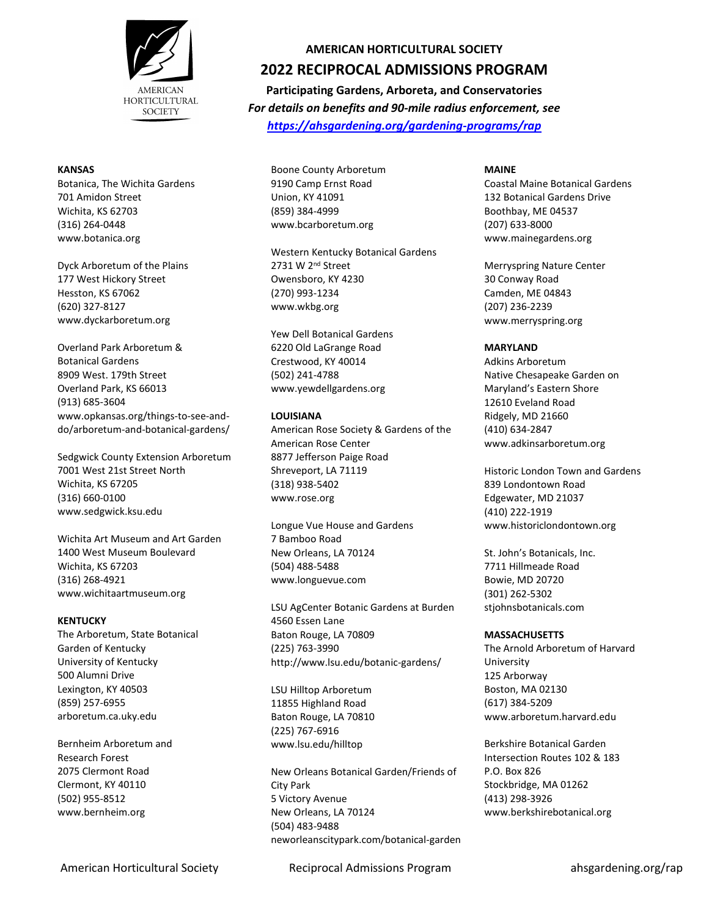

### **KANSAS**

Botanica, The Wichita Gardens 701 Amidon Street Wichita, KS 62703 (316) 264-0448 www.botanica.org

Dyck Arboretum of the Plains 177 West Hickory Street Hesston, KS 67062 (620) 327-8127 www.dyckarboretum.org

Overland Park Arboretum & Botanical Gardens 8909 West. 179th Street Overland Park, KS 66013 (913) 685-3604 www.opkansas.org/things-to-see-anddo/arboretum-and-botanical-gardens/

Sedgwick County Extension Arboretum 7001 West 21st Street North Wichita, KS 67205 (316) 660-0100 www.sedgwick.ksu.edu

Wichita Art Museum and Art Garden 1400 West Museum Boulevard Wichita, KS 67203 (316) 268-4921 www.wichitaartmuseum.org

### **KENTUCKY**

The Arboretum, State Botanical Garden of Kentucky University of Kentucky 500 Alumni Drive Lexington, KY 40503 (859) 257-6955 arboretum.ca.uky.edu

Bernheim Arboretum and Research Forest 2075 Clermont Road Clermont, KY 40110 (502) 955-8512 www.bernheim.org

## **AMERICAN HORTICULTURAL SOCIETY**

# **2022 RECIPROCAL ADMISSIONS PROGRAM**

**Participating Gardens, Arboreta, and Conservatories** *For details on benefits and 90-mile radius enforcement, see <https://ahsgardening.org/gardening-programs/rap>*

Boone County Arboretum 9190 Camp Ernst Road Union, KY 41091 (859) 384-4999 www.bcarboretum.org

Western Kentucky Botanical Gardens 2731 W 2nd Street Owensboro, KY 4230 (270) 993-1234 www.wkbg.org

Yew Dell Botanical Gardens 6220 Old LaGrange Road Crestwood, KY 40014 (502) 241-4788 www.yewdellgardens.org

### **LOUISIANA**

American Rose Society & Gardens of the American Rose Center 8877 Jefferson Paige Road Shreveport, LA 71119 (318) 938-5402 www.rose.org

Longue Vue House and Gardens 7 Bamboo Road New Orleans, LA 70124 (504) 488-5488 www.longuevue.com

LSU AgCenter Botanic Gardens at Burden 4560 Essen Lane Baton Rouge, LA 70809 (225) 763-3990 http://www.lsu.edu/botanic-gardens/

LSU Hilltop Arboretum 11855 Highland Road Baton Rouge, LA 70810 (225) 767-6916 www.lsu.edu/hilltop

New Orleans Botanical Garden/Friends of City Park 5 Victory Avenue New Orleans, LA 70124 (504) 483-9488 neworleanscitypark.com/botanical-garden Coastal Maine Botanical Gardens 132 Botanical Gardens Drive Boothbay, ME 04537 (207) 633-8000 www.mainegardens.org

Merryspring Nature Center 30 Conway Road Camden, ME 04843 (207) 236-2239 www.merryspring.org

### **MARYLAND**

Adkins Arboretum Native Chesapeake Garden on Maryland's Eastern Shore 12610 Eveland Road Ridgely, MD 21660 (410) 634-2847 www.adkinsarboretum.org

Historic London Town and Gardens 839 Londontown Road Edgewater, MD 21037 (410) 222-1919 www.historiclondontown.org

St. John's Botanicals, Inc. 7711 Hillmeade Road Bowie, MD 20720 (301) 262-5302 stjohnsbotanicals.com

## **MASSACHUSETTS**

The Arnold Arboretum of Harvard University 125 Arborway Boston, MA 02130 (617) 384-5209 www.arboretum.harvard.edu

Berkshire Botanical Garden Intersection Routes 102 & 183 P.O. Box 826 Stockbridge, MA 01262 (413) 298-3926 www.berkshirebotanical.org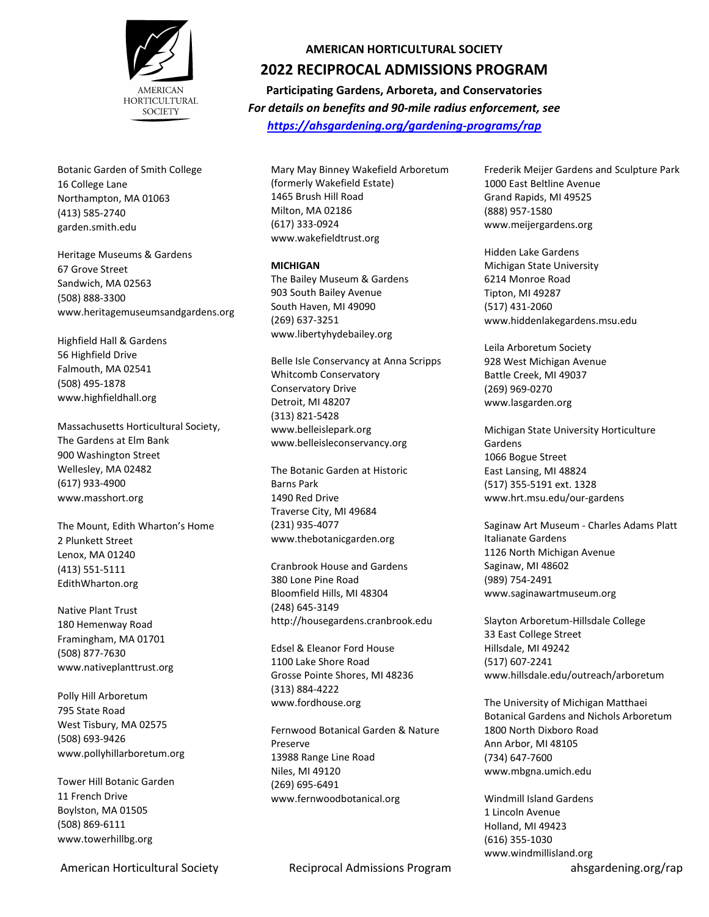

Botanic Garden of Smith College 16 College Lane Northampton, MA 01063 (413) 585-2740 garden.smith.edu

Heritage Museums & Gardens 67 Grove Street Sandwich, MA 02563 (508) 888-3300 www.heritagemuseumsandgardens.org

Highfield Hall & Gardens 56 Highfield Drive Falmouth, MA 02541 (508) 495-1878 www.highfieldhall.org

Massachusetts Horticultural Society, The Gardens at Elm Bank 900 Washington Street Wellesley, MA 02482 (617) 933-4900 www.masshort.org

The Mount, Edith Wharton's Home 2 Plunkett Street Lenox, MA 01240 (413) 551-5111 EdithWharton.org

Native Plant Trust 180 Hemenway Road Framingham, MA 01701 (508) 877-7630 www.nativeplanttrust.org

Polly Hill Arboretum 795 State Road West Tisbury, MA 02575 (508) 693-9426 www.pollyhillarboretum.org

Tower Hill Botanic Garden 11 French Drive Boylston, MA 01505 (508) 869-6111 www.towerhillbg.org

#### **AMERICAN HORTICULTURAL SOCIETY**

## **2022 RECIPROCAL ADMISSIONS PROGRAM**

**Participating Gardens, Arboreta, and Conservatories** *For details on benefits and 90-mile radius enforcement, see <https://ahsgardening.org/gardening-programs/rap>*

Mary May Binney Wakefield Arboretum (formerly Wakefield Estate) 1465 Brush Hill Road Milton, MA 02186 (617) 333-0924 www.wakefieldtrust.org

#### **MICHIGAN**

The Bailey Museum & Gardens 903 South Bailey Avenue South Haven, MI 49090 (269) 637-3251 www.libertyhydebailey.org

Belle Isle Conservancy at Anna Scripps Whitcomb Conservatory Conservatory Drive Detroit, MI 48207 (313) 821-5428 www.belleislepark.org www.belleisleconservancy.org

The Botanic Garden at Historic Barns Park 1490 Red Drive Traverse City, MI 49684 (231) 935-4077 www.thebotanicgarden.org

Cranbrook House and Gardens 380 Lone Pine Road Bloomfield Hills, MI 48304 (248) 645-3149 http://housegardens.cranbrook.edu

Edsel & Eleanor Ford House 1100 Lake Shore Road Grosse Pointe Shores, MI 48236 (313) 884-4222 www.fordhouse.org

Fernwood Botanical Garden & Nature Preserve 13988 Range Line Road Niles, MI 49120 (269) 695-6491 www.fernwoodbotanical.org

Frederik Meijer Gardens and Sculpture Park 1000 East Beltline Avenue Grand Rapids, MI 49525 (888) 957-1580 www.meijergardens.org

Hidden Lake Gardens Michigan State University 6214 Monroe Road Tipton, MI 49287 (517) 431-2060 www.hiddenlakegardens.msu.edu

Leila Arboretum Society 928 West Michigan Avenue Battle Creek, MI 49037 (269) 969-0270 www.lasgarden.org

Michigan State University Horticulture Gardens 1066 Bogue Street East Lansing, MI 48824 (517) 355-5191 ext. 1328 www.hrt.msu.edu/our-gardens

Saginaw Art Museum - Charles Adams Platt Italianate Gardens 1126 North Michigan Avenue Saginaw, MI 48602 (989) 754-2491 www.saginawartmuseum.org

Slayton Arboretum-Hillsdale College 33 East College Street Hillsdale, MI 49242 (517) 607-2241 www.hillsdale.edu/outreach/arboretum

The University of Michigan Matthaei Botanical Gardens and Nichols Arboretum 1800 North Dixboro Road Ann Arbor, MI 48105 (734) 647-7600 www.mbgna.umich.edu

Windmill Island Gardens 1 Lincoln Avenue Holland, MI 49423 (616) 355-1030 www.windmillisland.org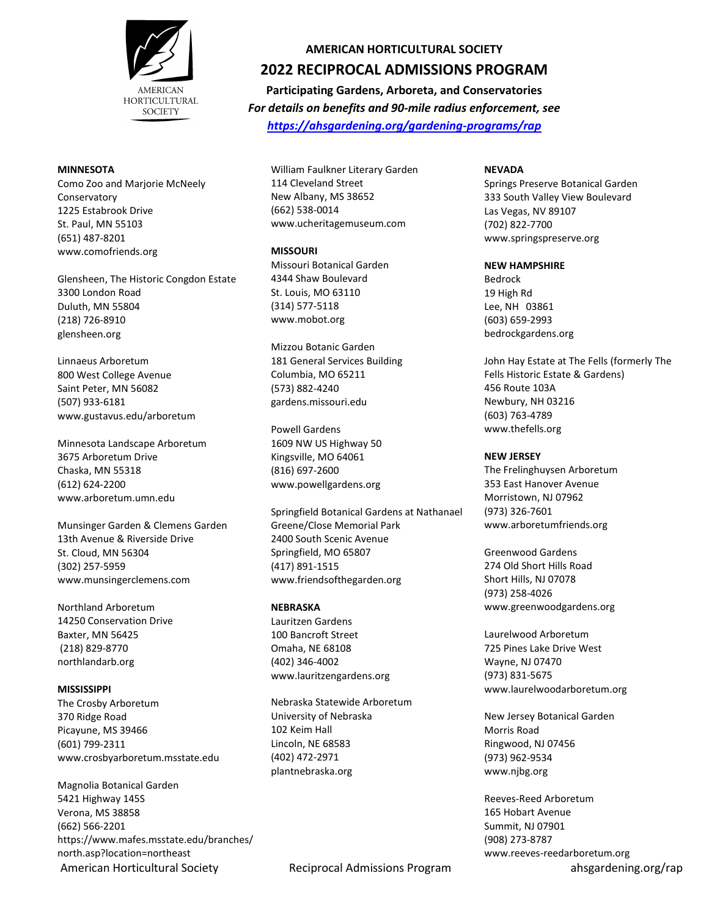

#### **MINNESOTA**

Como Zoo and Marjorie McNeely Conservatory 1225 Estabrook Drive St. Paul, MN 55103 (651) 487-8201 www.comofriends.org

Glensheen, The Historic Congdon Estate 3300 London Road Duluth, MN 55804 (218) 726-8910 glensheen.org

Linnaeus Arboretum 800 West College Avenue Saint Peter, MN 56082 (507) 933-6181 www.gustavus.edu/arboretum

Minnesota Landscape Arboretum 3675 Arboretum Drive Chaska, MN 55318 (612) 624-2200 www.arboretum.umn.edu

Munsinger Garden & Clemens Garden 13th Avenue & Riverside Drive St. Cloud, MN 56304 (302) 257-5959 www.munsingerclemens.com

Northland Arboretum 14250 Conservation Drive Baxter, MN 56425 (218) 829-8770 northlandarb.org

#### **MISSISSIPPI**

The Crosby Arboretum 370 Ridge Road Picayune, MS 39466 (601) 799-2311 www.crosbyarboretum.msstate.edu

American Horticultural Society **Reciprocal Admissions Program** ahsgardening.org/rap Magnolia Botanical Garden 5421 Highway 145S Verona, MS 38858 (662) 566-2201 https://www.mafes.msstate.edu/branches/ north.asp?location=northeast

### **AMERICAN HORTICULTURAL SOCIETY**

# **2022 RECIPROCAL ADMISSIONS PROGRAM**

**Participating Gardens, Arboreta, and Conservatories** *For details on benefits and 90-mile radius enforcement, see <https://ahsgardening.org/gardening-programs/rap>*

William Faulkner Literary Garden 114 Cleveland Street New Albany, MS 38652 (662) 538-0014 www.ucheritagemuseum.com

#### **MISSOURI**

Missouri Botanical Garden 4344 Shaw Boulevard St. Louis, MO 63110 (314) 577-5118 www.mobot.org

Mizzou Botanic Garden 181 General Services Building Columbia, MO 65211 (573) 882-4240 gardens.missouri.edu

Powell Gardens 1609 NW US Highway 50 Kingsville, MO 64061 (816) 697-2600 www.powellgardens.org

Springfield Botanical Gardens at Nathanael Greene/Close Memorial Park 2400 South Scenic Avenue Springfield, MO 65807 (417) 891-1515 www.friendsofthegarden.org

#### **NEBRASKA**

Lauritzen Gardens 100 Bancroft Street Omaha, NE 68108 (402) 346-4002 www.lauritzengardens.org

Nebraska Statewide Arboretum University of Nebraska 102 Keim Hall Lincoln, NE 68583 (402) 472-2971 plantnebraska.org

### **NEVADA**

Springs Preserve Botanical Garden 333 South Valley View Boulevard Las Vegas, NV 89107 (702) 822-7700 www.springspreserve.org

#### **NEW HAMPSHIRE**

Bedrock 19 High Rd Lee, NH 03861 (603) 659-2993 bedrockgardens.org

John Hay Estate at The Fells (formerly The Fells Historic Estate & Gardens) 456 Route 103A Newbury, NH 03216 (603) 763-4789 www.thefells.org

#### **NEW JERSEY**

The Frelinghuysen Arboretum 353 East Hanover Avenue Morristown, NJ 07962 (973) 326-7601 www.arboretumfriends.org

Greenwood Gardens 274 Old Short Hills Road Short Hills, NJ 07078 (973) 258-4026 www.greenwoodgardens.org

Laurelwood Arboretum 725 Pines Lake Drive West Wayne, NJ 07470 (973) 831-5675 www.laurelwoodarboretum.org

New Jersey Botanical Garden Morris Road Ringwood, NJ 07456 (973) 962-9534 www.njbg.org

Reeves-Reed Arboretum 165 Hobart Avenue Summit, NJ 07901 (908) 273-8787 www.reeves-reedarboretum.org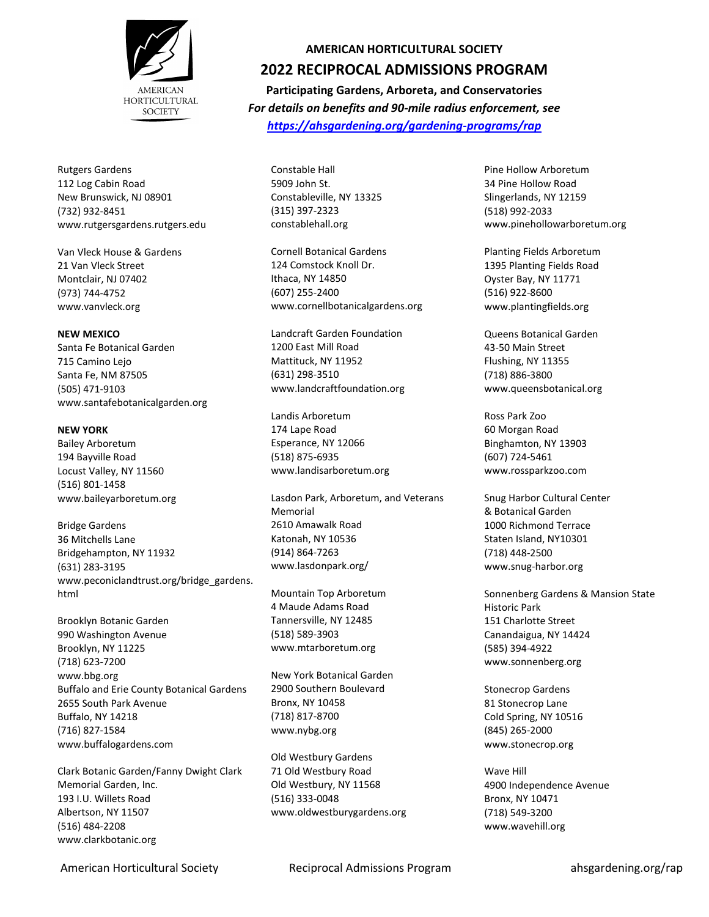

Rutgers Gardens 112 Log Cabin Road New Brunswick, NJ 08901 (732) 932-8451 www.rutgersgardens.rutgers.edu

Van Vleck House & Gardens 21 Van Vleck Street Montclair, NJ 07402 (973) 744-4752 www.vanvleck.org

#### **NEW MEXICO**

Santa Fe Botanical Garden 715 Camino Lejo Santa Fe, NM 87505 (505) 471-9103 www.santafebotanicalgarden.org

#### **NEW YORK**

Bailey Arboretum 194 Bayville Road Locust Valley, NY 11560 (516) 801-1458 www.baileyarboretum.org

Bridge Gardens 36 Mitchells Lane Bridgehampton, NY 11932 (631) 283-3195 www.peconiclandtrust.org/bridge\_gardens. html

Brooklyn Botanic Garden 990 Washington Avenue Brooklyn, NY 11225 (718) 623-7200 www.bbg.org Buffalo and Erie County Botanical Gardens 2655 South Park Avenue Buffalo, NY 14218 (716) 827-1584 www.buffalogardens.com

Clark Botanic Garden/Fanny Dwight Clark Memorial Garden, Inc. 193 I.U. Willets Road Albertson, NY 11507 (516) 484-2208 www.clarkbotanic.org

### **AMERICAN HORTICULTURAL SOCIETY**

## **2022 RECIPROCAL ADMISSIONS PROGRAM**

**Participating Gardens, Arboreta, and Conservatories** *For details on benefits and 90-mile radius enforcement, see <https://ahsgardening.org/gardening-programs/rap>*

Constable Hall 5909 John St. Constableville, NY 13325 (315) 397-2323 constablehall.org

Cornell Botanical Gardens 124 Comstock Knoll Dr. Ithaca, NY 14850 (607) 255-2400 www.cornellbotanicalgardens.org

Landcraft Garden Foundation 1200 East Mill Road Mattituck, NY 11952 (631) 298-3510 www.landcraftfoundation.org

Landis Arboretum 174 Lape Road Esperance, NY 12066 (518) 875-6935 www.landisarboretum.org

Lasdon Park, Arboretum, and Veterans Memorial 2610 Amawalk Road Katonah, NY 10536 (914) 864-7263 www.lasdonpark.org/

Mountain Top Arboretum 4 Maude Adams Road Tannersville, NY 12485 (518) 589-3903 www.mtarboretum.org

New York Botanical Garden 2900 Southern Boulevard Bronx, NY 10458 (718) 817-8700 www.nybg.org

Old Westbury Gardens 71 Old Westbury Road Old Westbury, NY 11568 (516) 333-0048 www.oldwestburygardens.org Pine Hollow Arboretum 34 Pine Hollow Road Slingerlands, NY 12159 (518) 992-2033 www.pinehollowarboretum.org

Planting Fields Arboretum 1395 Planting Fields Road Oyster Bay, NY 11771 (516) 922-8600 www.plantingfields.org

Queens Botanical Garden 43-50 Main Street Flushing, NY 11355 (718) 886-3800 www.queensbotanical.org

Ross Park Zoo 60 Morgan Road Binghamton, NY 13903 (607) 724-5461 www.rossparkzoo.com

Snug Harbor Cultural Center & Botanical Garden 1000 Richmond Terrace Staten Island, NY10301 (718) 448-2500 www.snug-harbor.org

Sonnenberg Gardens & Mansion State Historic Park 151 Charlotte Street Canandaigua, NY 14424 (585) 394-4922 www.sonnenberg.org

Stonecrop Gardens 81 Stonecrop Lane Cold Spring, NY 10516 (845) 265-2000 www.stonecrop.org

Wave Hill 4900 Independence Avenue Bronx, NY 10471 (718) 549-3200 www.wavehill.org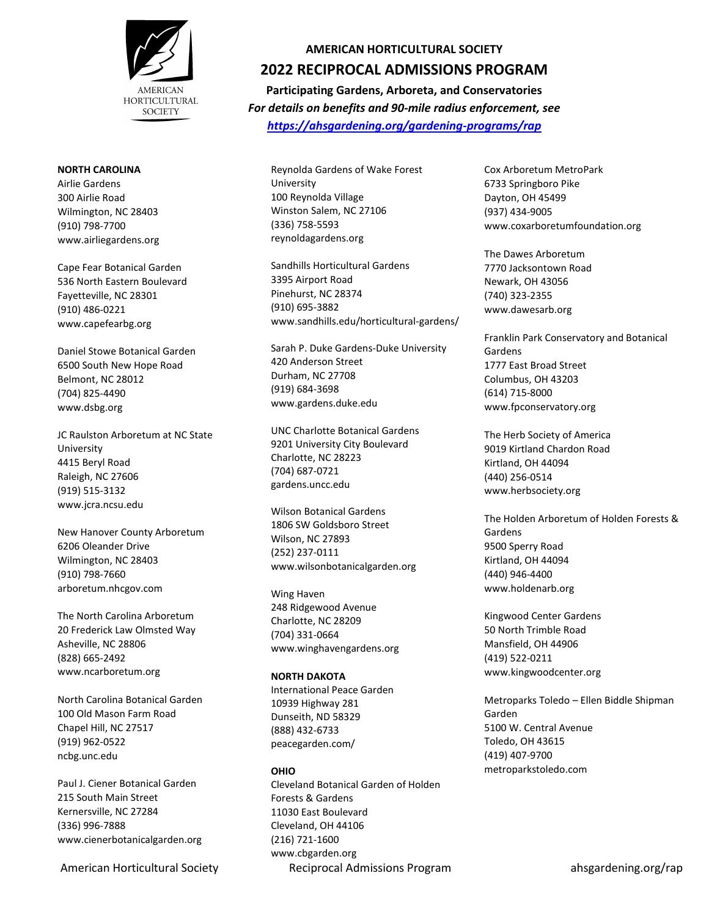

#### **NORTH CAROLINA**

Airlie Gardens 300 Airlie Road Wilmington, NC 28403 (910) 798-7700 www.airliegardens.org

Cape Fear Botanical Garden 536 North Eastern Boulevard Fayetteville, NC 28301 (910) 486-0221 www.capefearbg.org

Daniel Stowe Botanical Garden 6500 South New Hope Road Belmont, NC 28012 (704) 825-4490 www.dsbg.org

JC Raulston Arboretum at NC State University 4415 Beryl Road Raleigh, NC 27606 (919) 515-3132 www.jcra.ncsu.edu

New Hanover County Arboretum 6206 Oleander Drive Wilmington, NC 28403 (910) 798-7660 arboretum.nhcgov.com

The North Carolina Arboretum 20 Frederick Law Olmsted Way Asheville, NC 28806 (828) 665-2492 www.ncarboretum.org

North Carolina Botanical Garden 100 Old Mason Farm Road Chapel Hill, NC 27517 (919) 962-0522 ncbg.unc.edu

Paul J. Ciener Botanical Garden 215 South Main Street Kernersville, NC 27284 (336) 996-7888 www.cienerbotanicalgarden.org

## **AMERICAN HORTICULTURAL SOCIETY**

# **2022 RECIPROCAL ADMISSIONS PROGRAM**

**Participating Gardens, Arboreta, and Conservatories** *For details on benefits and 90-mile radius enforcement, see <https://ahsgardening.org/gardening-programs/rap>*

Reynolda Gardens of Wake Forest University 100 Reynolda Village Winston Salem, NC 27106 (336) 758-5593 reynoldagardens.org

Sandhills Horticultural Gardens 3395 Airport Road Pinehurst, NC 28374 (910) 695-3882 www.sandhills.edu/horticultural-gardens/

Sarah P. Duke Gardens-Duke University 420 Anderson Street Durham, NC 27708 (919) 684-3698 www.gardens.duke.edu

UNC Charlotte Botanical Gardens 9201 University City Boulevard Charlotte, NC 28223 (704) 687-0721 gardens.uncc.edu

Wilson Botanical Gardens 1806 SW Goldsboro Street Wilson, NC 27893 (252) 237-0111 www.wilsonbotanicalgarden.org

Wing Haven 248 Ridgewood Avenue Charlotte, NC 28209 (704) 331-0664 www.winghavengardens.org

### **NORTH DAKOTA**

International Peace Garden 10939 Highway 281 Dunseith, ND 58329 (888) 432-6733 peacegarden.com/

## **OHIO**

American Horticultural Society **Reciprocal Admissions Program** ahsgardening.org/rap Cleveland Botanical Garden of Holden Forests & Gardens 11030 East Boulevard Cleveland, OH 44106 (216) 721-1600 www.cbgarden.org

Cox Arboretum MetroPark 6733 Springboro Pike Dayton, OH 45499 (937) 434-9005 www.coxarboretumfoundation.org

The Dawes Arboretum 7770 Jacksontown Road Newark, OH 43056 (740) 323-2355 www.dawesarb.org

Franklin Park Conservatory and Botanical Gardens 1777 East Broad Street Columbus, OH 43203 (614) 715-8000 www.fpconservatory.org

The Herb Society of America 9019 Kirtland Chardon Road Kirtland, OH 44094 (440) 256-0514 www.herbsociety.org

The Holden Arboretum of Holden Forests & Gardens 9500 Sperry Road Kirtland, OH 44094 (440) 946-4400 www.holdenarb.org

Kingwood Center Gardens 50 North Trimble Road Mansfield, OH 44906 (419) 522-0211 www.kingwoodcenter.org

Metroparks Toledo – Ellen Biddle Shipman Garden 5100 W. Central Avenue Toledo, OH 43615 (419) 407-9700 metroparkstoledo.com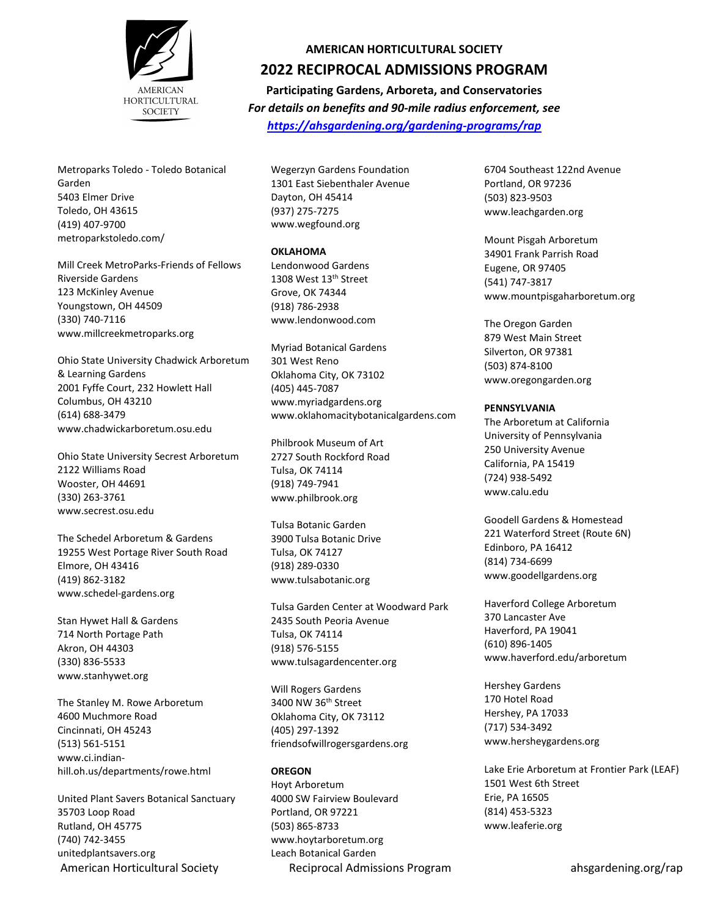

Metroparks Toledo - Toledo Botanical Garden 5403 Elmer Drive Toledo, OH 43615 (419) 407-9700 metroparkstoledo.com/

Mill Creek MetroParks-Friends of Fellows Riverside Gardens 123 McKinley Avenue Youngstown, OH 44509 (330) 740-7116 www.millcreekmetroparks.org

Ohio State University Chadwick Arboretum & Learning Gardens 2001 Fyffe Court, 232 Howlett Hall Columbus, OH 43210 (614) 688-3479 www.chadwickarboretum.osu.edu

Ohio State University Secrest Arboretum 2122 Williams Road Wooster, OH 44691 (330) 263-3761 www.secrest.osu.edu

The Schedel Arboretum & Gardens 19255 West Portage River South Road Elmore, OH 43416 (419) 862-3182 www.schedel-gardens.org

Stan Hywet Hall & Gardens 714 North Portage Path Akron, OH 44303 (330) 836-5533 www.stanhywet.org

The Stanley M. Rowe Arboretum 4600 Muchmore Road Cincinnati, OH 45243 (513) 561-5151 www.ci.indianhill.oh.us/departments/rowe.html

American Horticultural Society **Reciprocal Admissions Program** ahsgardening.org/rap United Plant Savers Botanical Sanctuary 35703 Loop Road Rutland, OH 45775 (740) 742-3455 unitedplantsavers.org

# **AMERICAN HORTICULTURAL SOCIETY 2022 RECIPROCAL ADMISSIONS PROGRAM**

**Participating Gardens, Arboreta, and Conservatories** *For details on benefits and 90-mile radius enforcement, see <https://ahsgardening.org/gardening-programs/rap>*

Wegerzyn Gardens Foundation 1301 East Siebenthaler Avenue Dayton, OH 45414 (937) 275-7275 www.wegfound.org

### **OKLAHOMA**

Lendonwood Gardens 1308 West 13th Street Grove, OK 74344 (918) 786-2938 www.lendonwood.com

Myriad Botanical Gardens 301 West Reno Oklahoma City, OK 73102 (405) 445-7087 www.myriadgardens.org www.oklahomacitybotanicalgardens.com

Philbrook Museum of Art 2727 South Rockford Road Tulsa, OK 74114 (918) 749-7941 www.philbrook.org

Tulsa Botanic Garden 3900 Tulsa Botanic Drive Tulsa, OK 74127 (918) 289-0330 www.tulsabotanic.org

Tulsa Garden Center at Woodward Park 2435 South Peoria Avenue Tulsa, OK 74114 (918) 576-5155 www.tulsagardencenter.org

Will Rogers Gardens 3400 NW 36th Street Oklahoma City, OK 73112 (405) 297-1392 friendsofwillrogersgardens.org

#### **OREGON**

Hoyt Arboretum 4000 SW Fairview Boulevard Portland, OR 97221 (503) 865-8733 www.hoytarboretum.org Leach Botanical Garden

6704 Southeast 122nd Avenue Portland, OR 97236 (503) 823-9503 www.leachgarden.org

Mount Pisgah Arboretum 34901 Frank Parrish Road Eugene, OR 97405 (541) 747-3817 www.mountpisgaharboretum.org

The Oregon Garden 879 West Main Street Silverton, OR 97381 (503) 874-8100 www.oregongarden.org

#### **PENNSYLVANIA**

The Arboretum at California University of Pennsylvania 250 University Avenue California, PA 15419 (724) 938-5492 www.calu.edu

Goodell Gardens & Homestead 221 Waterford Street (Route 6N) Edinboro, PA 16412 (814) 734-6699 www.goodellgardens.org

Haverford College Arboretum 370 Lancaster Ave Haverford, PA 19041 (610) 896-1405 www.haverford.edu/arboretum

Hershey Gardens 170 Hotel Road Hershey, PA 17033 (717) 534-3492 www.hersheygardens.org

Lake Erie Arboretum at Frontier Park (LEAF) 1501 West 6th Street Erie, PA 16505 (814) 453-5323 www.leaferie.org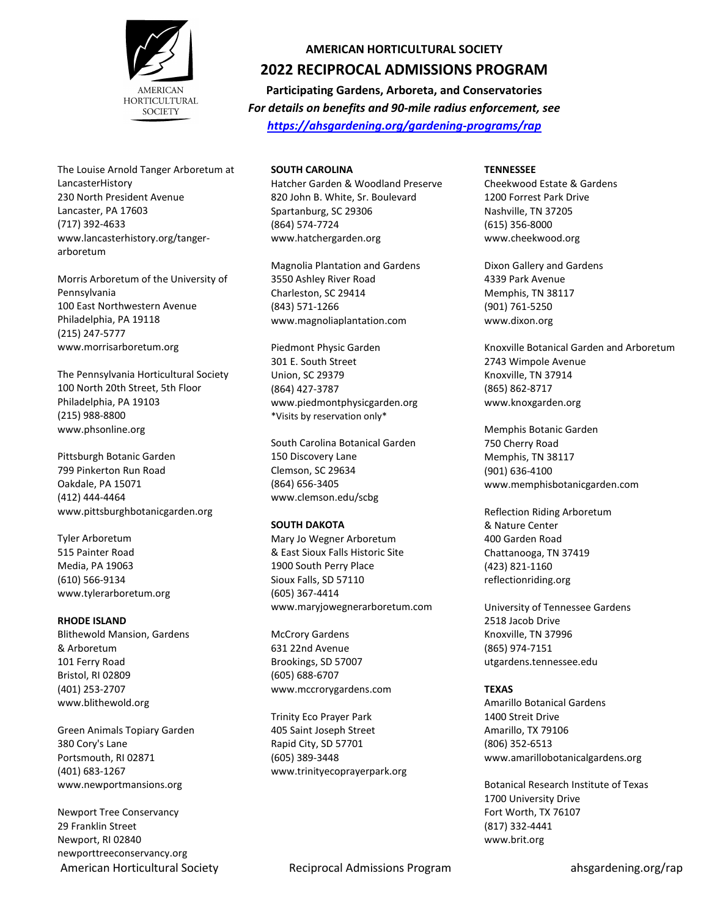

The Louise Arnold Tanger Arboretum at LancasterHistory 230 North President Avenue Lancaster, PA 17603 (717) 392-4633 www.lancasterhistory.org/tangerarboretum

Morris Arboretum of the University of Pennsylvania 100 East Northwestern Avenue Philadelphia, PA 19118 (215) 247-5777 www.morrisarboretum.org

The Pennsylvania Horticultural Society 100 North 20th Street, 5th Floor Philadelphia, PA 19103 (215) 988-8800 www.phsonline.org

Pittsburgh Botanic Garden 799 Pinkerton Run Road Oakdale, PA 15071 (412) 444-4464 www.pittsburghbotanicgarden.org

Tyler Arboretum 515 Painter Road Media, PA 19063 (610) 566-9134 www.tylerarboretum.org

#### **RHODE ISLAND**

Blithewold Mansion, Gardens & Arboretum 101 Ferry Road Bristol, RI 02809 (401) 253-2707 www.blithewold.org

Green Animals Topiary Garden 380 Cory's Lane Portsmouth, RI 02871 (401) 683-1267 www.newportmansions.org

Newport Tree Conservancy 29 Franklin Street Newport, RI 02840 newporttreeconservancy.org

#### **SOUTH CAROLINA**

Hatcher Garden & Woodland Preserve 820 John B. White, Sr. Boulevard Spartanburg, SC 29306 (864) 574-7724 www.hatchergarden.org

**AMERICAN HORTICULTURAL SOCIETY 2022 RECIPROCAL ADMISSIONS PROGRAM Participating Gardens, Arboreta, and Conservatories** *For details on benefits and 90-mile radius enforcement, see <https://ahsgardening.org/gardening-programs/rap>*

Magnolia Plantation and Gardens 3550 Ashley River Road Charleston, SC 29414 (843) 571-1266 www.magnoliaplantation.com

Piedmont Physic Garden 301 E. South Street Union, SC 29379 (864) 427-3787 www.piedmontphysicgarden.org \*Visits by reservation only\*

South Carolina Botanical Garden 150 Discovery Lane Clemson, SC 29634 (864) 656-3405 www.clemson.edu/scbg

#### **SOUTH DAKOTA**

Mary Jo Wegner Arboretum & East Sioux Falls Historic Site 1900 South Perry Place Sioux Falls, SD 57110 (605) 367-4414 www.maryjowegnerarboretum.com

McCrory Gardens 631 22nd Avenue Brookings, SD 57007 (605) 688-6707 www.mccrorygardens.com

Trinity Eco Prayer Park 405 Saint Joseph Street Rapid City, SD 57701 (605) 389-3448 www.trinityecoprayerpark.org **TENNESSEE**

Cheekwood Estate & Gardens 1200 Forrest Park Drive Nashville, TN 37205 (615) 356-8000 www.cheekwood.org

Dixon Gallery and Gardens 4339 Park Avenue Memphis, TN 38117 (901) 761-5250 www.dixon.org

Knoxville Botanical Garden and Arboretum 2743 Wimpole Avenue Knoxville, TN 37914 (865) 862-8717 www.knoxgarden.org

Memphis Botanic Garden 750 Cherry Road Memphis, TN 38117 (901) 636-4100 www.memphisbotanicgarden.com

Reflection Riding Arboretum & Nature Center 400 Garden Road Chattanooga, TN 37419 (423) 821-1160 reflectionriding.org

University of Tennessee Gardens 2518 Jacob Drive Knoxville, TN 37996 (865) 974-7151 utgardens.tennessee.edu

#### **TEXAS**

Amarillo Botanical Gardens 1400 Streit Drive Amarillo, TX 79106 (806) 352-6513 www.amarillobotanicalgardens.org

Botanical Research Institute of Texas 1700 University Drive Fort Worth, TX 76107 (817) 332-4441 www.brit.org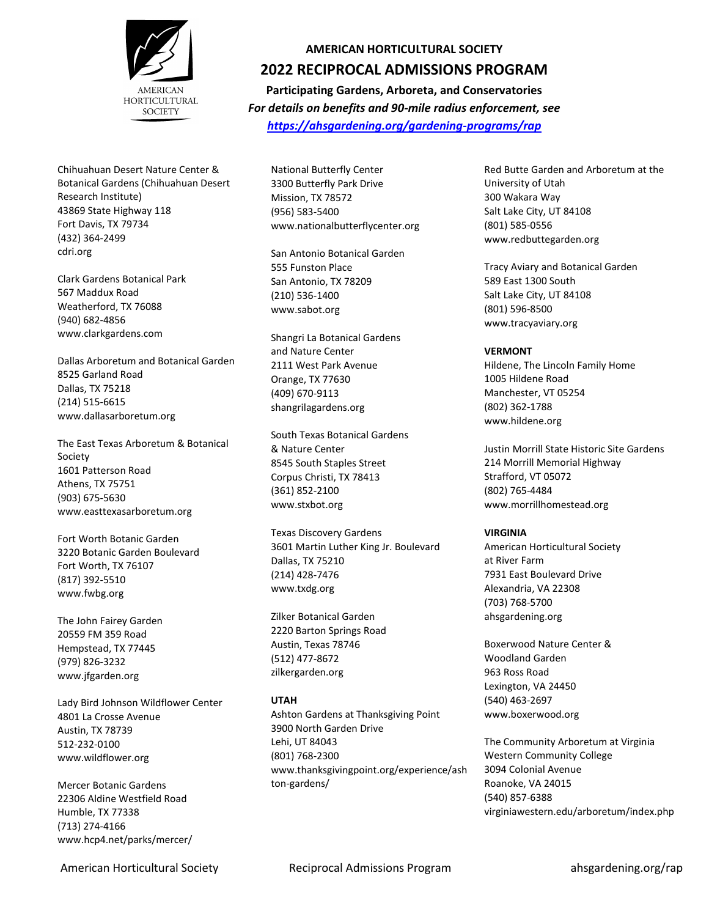

Chihuahuan Desert Nature Center & Botanical Gardens (Chihuahuan Desert Research Institute) 43869 State Highway 118 Fort Davis, TX 79734 (432) 364-2499 cdri.org

Clark Gardens Botanical Park 567 Maddux Road Weatherford, TX 76088 (940) 682-4856 www.clarkgardens.com

Dallas Arboretum and Botanical Garden 8525 Garland Road Dallas, TX 75218 (214) 515-6615 www.dallasarboretum.org

The East Texas Arboretum & Botanical Society 1601 Patterson Road Athens, TX 75751 (903) 675-5630 www.easttexasarboretum.org

Fort Worth Botanic Garden 3220 Botanic Garden Boulevard Fort Worth, TX 76107 (817) 392-5510 www.fwbg.org

The John Fairey Garden 20559 FM 359 Road Hempstead, TX 77445 (979) 826-3232 www.jfgarden.org

Lady Bird Johnson Wildflower Center 4801 La Crosse Avenue Austin, TX 78739 512-232-0100 www.wildflower.org

Mercer Botanic Gardens 22306 Aldine Westfield Road Humble, TX 77338 (713) 274-4166 www.hcp4.net/parks/mercer/

## **AMERICAN HORTICULTURAL SOCIETY**

## **2022 RECIPROCAL ADMISSIONS PROGRAM**

**Participating Gardens, Arboreta, and Conservatories** *For details on benefits and 90-mile radius enforcement, see <https://ahsgardening.org/gardening-programs/rap>*

National Butterfly Center 3300 Butterfly Park Drive Mission, TX 78572 (956) 583-5400 www.nationalbutterflycenter.org

San Antonio Botanical Garden 555 Funston Place San Antonio, TX 78209 (210) 536-1400 www.sabot.org

Shangri La Botanical Gardens and Nature Center 2111 West Park Avenue Orange, TX 77630 (409) 670-9113 shangrilagardens.org

South Texas Botanical Gardens & Nature Center 8545 South Staples Street Corpus Christi, TX 78413 (361) 852-2100 www.stxbot.org

Texas Discovery Gardens 3601 Martin Luther King Jr. Boulevard Dallas, TX 75210 (214) 428-7476 www.txdg.org

Zilker Botanical Garden 2220 Barton Springs Road Austin, Texas 78746 (512) 477-8672 zilkergarden.org

## **UTAH**

Ashton Gardens at Thanksgiving Point 3900 North Garden Drive Lehi, UT 84043 (801) 768-2300 www.thanksgivingpoint.org/experience/ash ton-gardens/

Red Butte Garden and Arboretum at the University of Utah 300 Wakara Way Salt Lake City, UT 84108 (801) 585-0556 www.redbuttegarden.org

Tracy Aviary and Botanical Garden 589 East 1300 South Salt Lake City, UT 84108 (801) 596-8500 www.tracyaviary.org

### **VERMONT**

Hildene, The Lincoln Family Home 1005 Hildene Road Manchester, VT 05254 (802) 362-1788 www.hildene.org

Justin Morrill State Historic Site Gardens 214 Morrill Memorial Highway Strafford, VT 05072 (802) 765-4484 www.morrillhomestead.org

## **VIRGINIA**

American Horticultural Society at River Farm 7931 East Boulevard Drive Alexandria, VA 22308 (703) 768-5700 ahsgardening.org

Boxerwood Nature Center & Woodland Garden 963 Ross Road Lexington, VA 24450 (540) 463-2697 www.boxerwood.org

The Community Arboretum at Virginia Western Community College 3094 Colonial Avenue Roanoke, VA 24015 (540) 857-6388 virginiawestern.edu/arboretum/index.php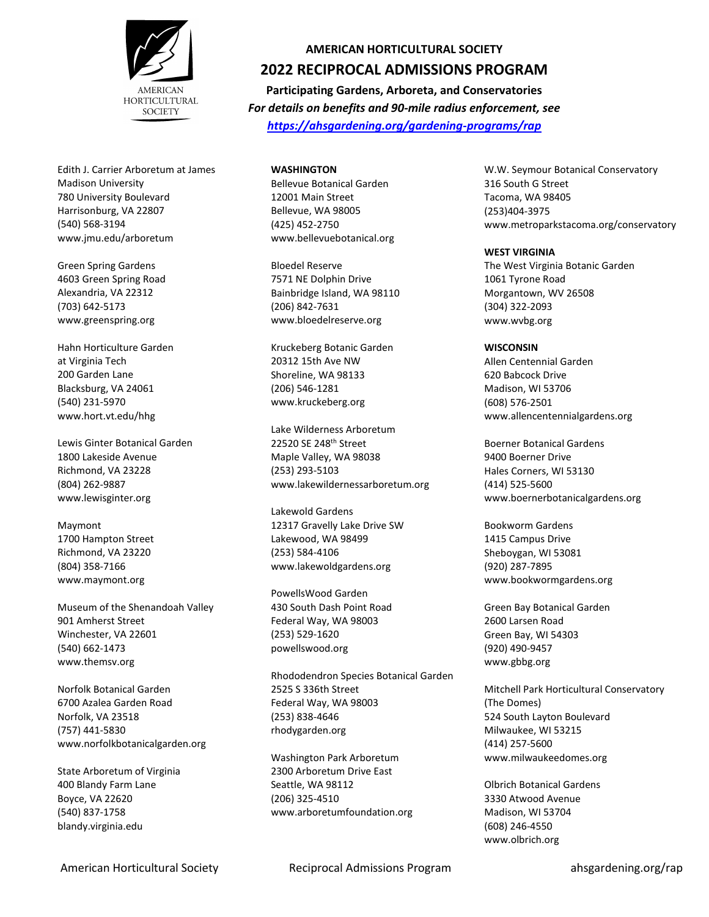

Edith J. Carrier Arboretum at James Madison University 780 University Boulevard Harrisonburg, VA 22807 (540) 568-3194 www.jmu.edu/arboretum

Green Spring Gardens 4603 Green Spring Road Alexandria, VA 22312 (703) 642-5173 www.greenspring.org

Hahn Horticulture Garden at Virginia Tech 200 Garden Lane Blacksburg, VA 24061 (540) 231-5970 www.hort.vt.edu/hhg

Lewis Ginter Botanical Garden 1800 Lakeside Avenue Richmond, VA 23228 (804) 262-9887 www.lewisginter.org

Maymont 1700 Hampton Street Richmond, VA 23220 (804) 358-7166 www.maymont.org

Museum of the Shenandoah Valley 901 Amherst Street Winchester, VA 22601 (540) 662-1473 www.themsv.org

Norfolk Botanical Garden 6700 Azalea Garden Road Norfolk, VA 23518 (757) 441-5830 www.norfolkbotanicalgarden.org

State Arboretum of Virginia 400 Blandy Farm Lane Boyce, VA 22620 (540) 837-1758 blandy.virginia.edu

## **AMERICAN HORTICULTURAL SOCIETY**

# **2022 RECIPROCAL ADMISSIONS PROGRAM**

**Participating Gardens, Arboreta, and Conservatories** *For details on benefits and 90-mile radius enforcement, see <https://ahsgardening.org/gardening-programs/rap>*

**WASHINGTON** Bellevue Botanical Garden 12001 Main Street Bellevue, WA 98005 (425) 452-2750 www.bellevuebotanical.org

Bloedel Reserve 7571 NE Dolphin Drive Bainbridge Island, WA 98110 (206) 842-7631 www.bloedelreserve.org

Kruckeberg Botanic Garden 20312 15th Ave NW Shoreline, WA 98133 (206) 546-1281 www.kruckeberg.org

Lake Wilderness Arboretum 22520 SE 248th Street Maple Valley, WA 98038 (253) 293-5103 www.lakewildernessarboretum.org

Lakewold Gardens 12317 Gravelly Lake Drive SW Lakewood, WA 98499 (253) 584-4106 www.lakewoldgardens.org

PowellsWood Garden 430 South Dash Point Road Federal Way, WA 98003 (253) 529-1620 powellswood.org

Rhododendron Species Botanical Garden 2525 S 336th Street Federal Way, WA 98003 (253) 838-4646 rhodygarden.org

Washington Park Arboretum 2300 Arboretum Drive East Seattle, WA 98112 (206) 325-4510 www.arboretumfoundation.org W.W. Seymour Botanical Conservatory 316 South G Street Tacoma, WA 98405 (253)404-3975 www.metroparkstacoma.org/conservatory

### **WEST VIRGINIA**

The West Virginia Botanic Garden 1061 Tyrone Road Morgantown, WV 26508 (304) 322-2093 www.wvbg.org

**WISCONSIN** Allen Centennial Garden 620 Babcock Drive Madison, WI 53706 (608) 576-2501

Boerner Botanical Gardens 9400 Boerner Drive Hales Corners, WI 53130 (414) 525-5600 www.boernerbotanicalgardens.org

www.allencentennialgardens.org

Bookworm Gardens 1415 Campus Drive Sheboygan, WI 53081 (920) 287-7895 www.bookwormgardens.org

Green Bay Botanical Garden 2600 Larsen Road Green Bay, WI 54303 (920) 490-9457 www.gbbg.org

Mitchell Park Horticultural Conservatory (The Domes) 524 South Layton Boulevard Milwaukee, WI 53215 (414) 257-5600 www.milwaukeedomes.org

Olbrich Botanical Gardens 3330 Atwood Avenue Madison, WI 53704 (608) 246-4550 www.olbrich.org